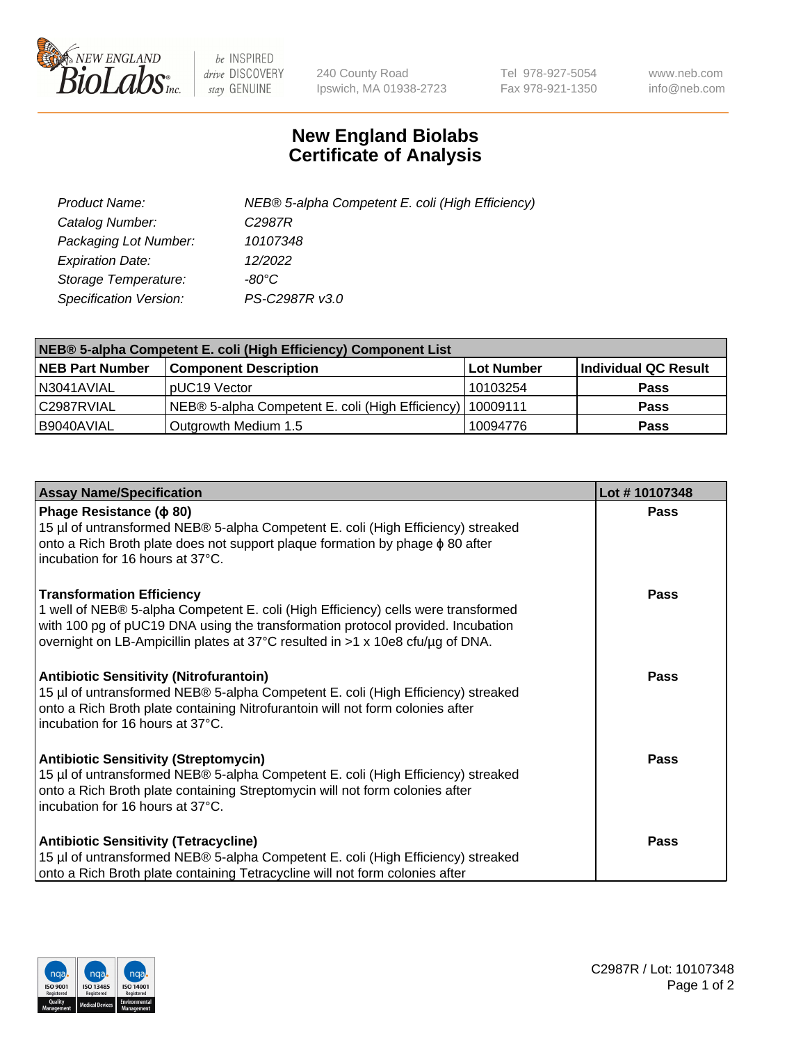

 $be$  INSPIRED drive DISCOVERY stay GENUINE

240 County Road Ipswich, MA 01938-2723 Tel 978-927-5054 Fax 978-921-1350 www.neb.com info@neb.com

## **New England Biolabs Certificate of Analysis**

| Product Name:                 | NEB® 5-alpha Competent E. coli (High Efficiency) |
|-------------------------------|--------------------------------------------------|
| Catalog Number:               | C <sub>2987</sub> R                              |
| Packaging Lot Number:         | 10107348                                         |
| <b>Expiration Date:</b>       | 12/2022                                          |
| Storage Temperature:          | -80°C                                            |
| <b>Specification Version:</b> | PS-C2987R v3.0                                   |

| NEB® 5-alpha Competent E. coli (High Efficiency) Component List |                                                             |            |                      |  |
|-----------------------------------------------------------------|-------------------------------------------------------------|------------|----------------------|--|
| <b>NEB Part Number</b>                                          | <b>Component Description</b>                                | Lot Number | Individual QC Result |  |
| N3041AVIAL                                                      | pUC19 Vector                                                | 10103254   | <b>Pass</b>          |  |
| C2987RVIAL                                                      | NEB® 5-alpha Competent E. coli (High Efficiency)   10009111 |            | <b>Pass</b>          |  |
| B9040AVIAL                                                      | Outgrowth Medium 1.5                                        | 10094776   | <b>Pass</b>          |  |

| <b>Assay Name/Specification</b>                                                                                                                                                                                                                                                            | Lot #10107348 |
|--------------------------------------------------------------------------------------------------------------------------------------------------------------------------------------------------------------------------------------------------------------------------------------------|---------------|
| Phage Resistance ( $\phi$ 80)<br>15 µl of untransformed NEB® 5-alpha Competent E. coli (High Efficiency) streaked<br>onto a Rich Broth plate does not support plaque formation by phage $\phi$ 80 after<br>incubation for 16 hours at 37°C.                                                | Pass          |
| <b>Transformation Efficiency</b><br>1 well of NEB® 5-alpha Competent E. coli (High Efficiency) cells were transformed<br>with 100 pg of pUC19 DNA using the transformation protocol provided. Incubation<br>overnight on LB-Ampicillin plates at 37°C resulted in >1 x 10e8 cfu/µg of DNA. | <b>Pass</b>   |
| <b>Antibiotic Sensitivity (Nitrofurantoin)</b><br>15 µl of untransformed NEB® 5-alpha Competent E. coli (High Efficiency) streaked<br>onto a Rich Broth plate containing Nitrofurantoin will not form colonies after<br>incubation for 16 hours at 37°C.                                   | Pass          |
| <b>Antibiotic Sensitivity (Streptomycin)</b><br>15 µl of untransformed NEB® 5-alpha Competent E. coli (High Efficiency) streaked<br>onto a Rich Broth plate containing Streptomycin will not form colonies after<br>incubation for 16 hours at 37°C.                                       | Pass          |
| <b>Antibiotic Sensitivity (Tetracycline)</b><br>15 µl of untransformed NEB® 5-alpha Competent E. coli (High Efficiency) streaked<br>onto a Rich Broth plate containing Tetracycline will not form colonies after                                                                           | <b>Pass</b>   |